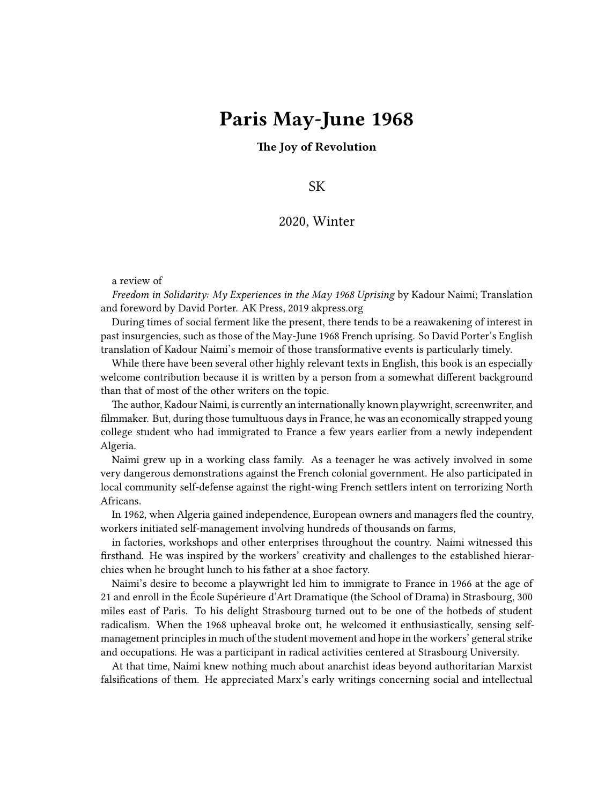## **Paris May-June 1968**

**The Joy of Revolution**

SK

## 2020, Winter

a review of

*Freedom in Solidarity: My Experiences in the May 1968 Uprising* by Kadour Naimi; Translation and foreword by David Porter. AK Press, 2019 akpress.org

During times of social ferment like the present, there tends to be a reawakening of interest in past insurgencies, such as those of the May-June 1968 French uprising. So David Porter's English translation of Kadour Naimi's memoir of those transformative events is particularly timely.

While there have been several other highly relevant texts in English, this book is an especially welcome contribution because it is written by a person from a somewhat different background than that of most of the other writers on the topic.

The author, Kadour Naimi, is currently an internationally known playwright, screenwriter, and filmmaker. But, during those tumultuous days in France, he was an economically strapped young college student who had immigrated to France a few years earlier from a newly independent Algeria.

Naimi grew up in a working class family. As a teenager he was actively involved in some very dangerous demonstrations against the French colonial government. He also participated in local community self-defense against the right-wing French settlers intent on terrorizing North Africans.

In 1962, when Algeria gained independence, European owners and managers fled the country, workers initiated self-management involving hundreds of thousands on farms,

in factories, workshops and other enterprises throughout the country. Naimi witnessed this firsthand. He was inspired by the workers' creativity and challenges to the established hierarchies when he brought lunch to his father at a shoe factory.

Naimi's desire to become a playwright led him to immigrate to France in 1966 at the age of 21 and enroll in the École Supérieure d'Art Dramatique (the School of Drama) in Strasbourg, 300 miles east of Paris. To his delight Strasbourg turned out to be one of the hotbeds of student radicalism. When the 1968 upheaval broke out, he welcomed it enthusiastically, sensing selfmanagement principles in much of the student movement and hope in the workers' general strike and occupations. He was a participant in radical activities centered at Strasbourg University.

At that time, Naimi knew nothing much about anarchist ideas beyond authoritarian Marxist falsifications of them. He appreciated Marx's early writings concerning social and intellectual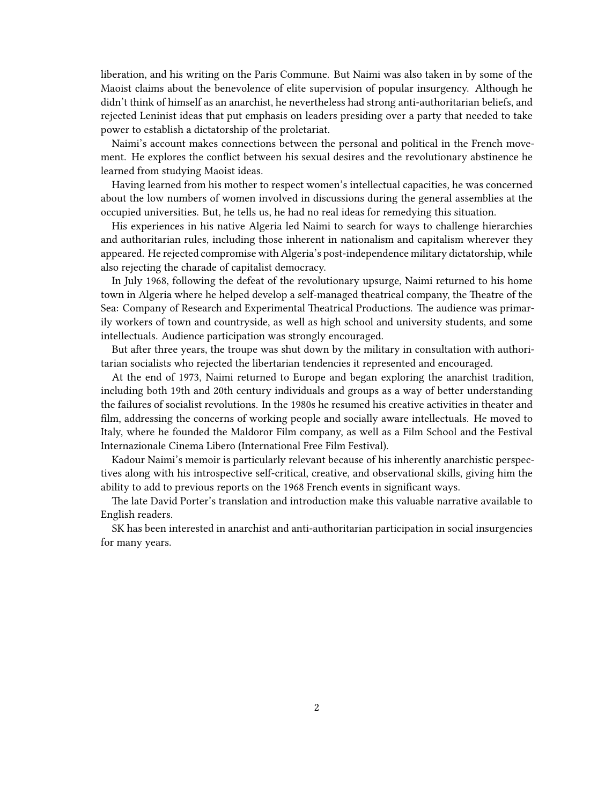liberation, and his writing on the Paris Commune. But Naimi was also taken in by some of the Maoist claims about the benevolence of elite supervision of popular insurgency. Although he didn't think of himself as an anarchist, he nevertheless had strong anti-authoritarian beliefs, and rejected Leninist ideas that put emphasis on leaders presiding over a party that needed to take power to establish a dictatorship of the proletariat.

Naimi's account makes connections between the personal and political in the French movement. He explores the conflict between his sexual desires and the revolutionary abstinence he learned from studying Maoist ideas.

Having learned from his mother to respect women's intellectual capacities, he was concerned about the low numbers of women involved in discussions during the general assemblies at the occupied universities. But, he tells us, he had no real ideas for remedying this situation.

His experiences in his native Algeria led Naimi to search for ways to challenge hierarchies and authoritarian rules, including those inherent in nationalism and capitalism wherever they appeared. He rejected compromise with Algeria's post-independence military dictatorship, while also rejecting the charade of capitalist democracy.

In July 1968, following the defeat of the revolutionary upsurge, Naimi returned to his home town in Algeria where he helped develop a self-managed theatrical company, the Theatre of the Sea: Company of Research and Experimental Theatrical Productions. The audience was primarily workers of town and countryside, as well as high school and university students, and some intellectuals. Audience participation was strongly encouraged.

But after three years, the troupe was shut down by the military in consultation with authoritarian socialists who rejected the libertarian tendencies it represented and encouraged.

At the end of 1973, Naimi returned to Europe and began exploring the anarchist tradition, including both 19th and 20th century individuals and groups as a way of better understanding the failures of socialist revolutions. In the 1980s he resumed his creative activities in theater and film, addressing the concerns of working people and socially aware intellectuals. He moved to Italy, where he founded the Maldoror Film company, as well as a Film School and the Festival Internazionale Cinema Libero (International Free Film Festival).

Kadour Naimi's memoir is particularly relevant because of his inherently anarchistic perspectives along with his introspective self-critical, creative, and observational skills, giving him the ability to add to previous reports on the 1968 French events in significant ways.

The late David Porter's translation and introduction make this valuable narrative available to English readers.

SK has been interested in anarchist and anti-authoritarian participation in social insurgencies for many years.